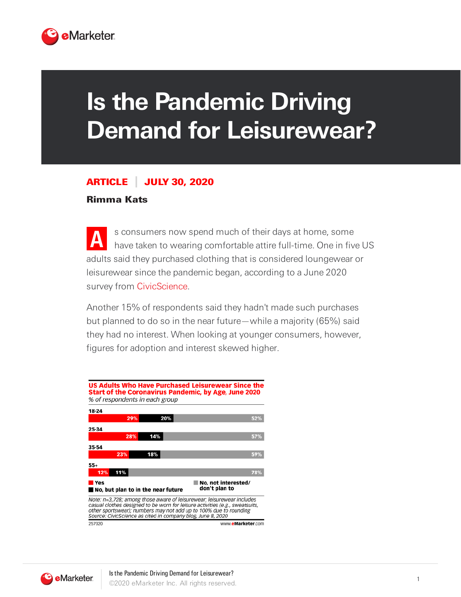

## **Is the Pandemic Driving Demand for Leisurewear?**

## ARTICLE JULY 30, 2020

## Rimma Kats

**A** s consumers now spend much of their days at home, some have taken to wearing comfortable attire full-time. One in five US adults said they purchased clothing that is considered loungewear or leisurewear since the pandemic began, according to a June 2020 survey from [CivicScience.](https://civicscience.com/)

Another 15% of respondents said they hadn't made such purchases but planned to do so in the near future—while a majority (65%) said they had no interest. When looking at younger consumers, however, figures for adoption and interest skewed higher.



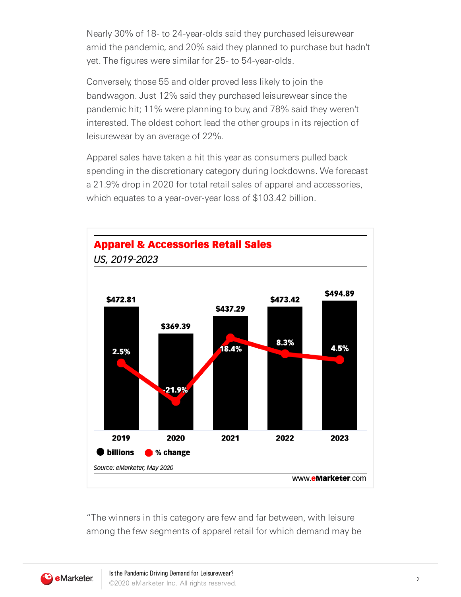Nearly 30% of 18- to 24-year-olds said they purchased leisurewear amid the pandemic, and 20% said they planned to purchase but hadn't yet. The figures were similar for 25- to 54-year-olds.

Conversely, those 55 and older proved less likely to join the bandwagon. Just 12% said they purchased leisurewear since the pandemic hit; 11% were planning to buy, and 78% said they weren't interested. The oldest cohort lead the other groups in its rejection of leisurewear by an average of 22%.

Apparel sales have taken a hit this year as consumers pulled back spending in the discretionary category during lockdowns. We forecast a 21.9% drop in 2020 for total retail sales of apparel and accessories, which equates to a year-over-year loss of \$103.42 billion.



"The winners in this category are few and far between, with leisure among the few segments of apparel retail for which demand may be